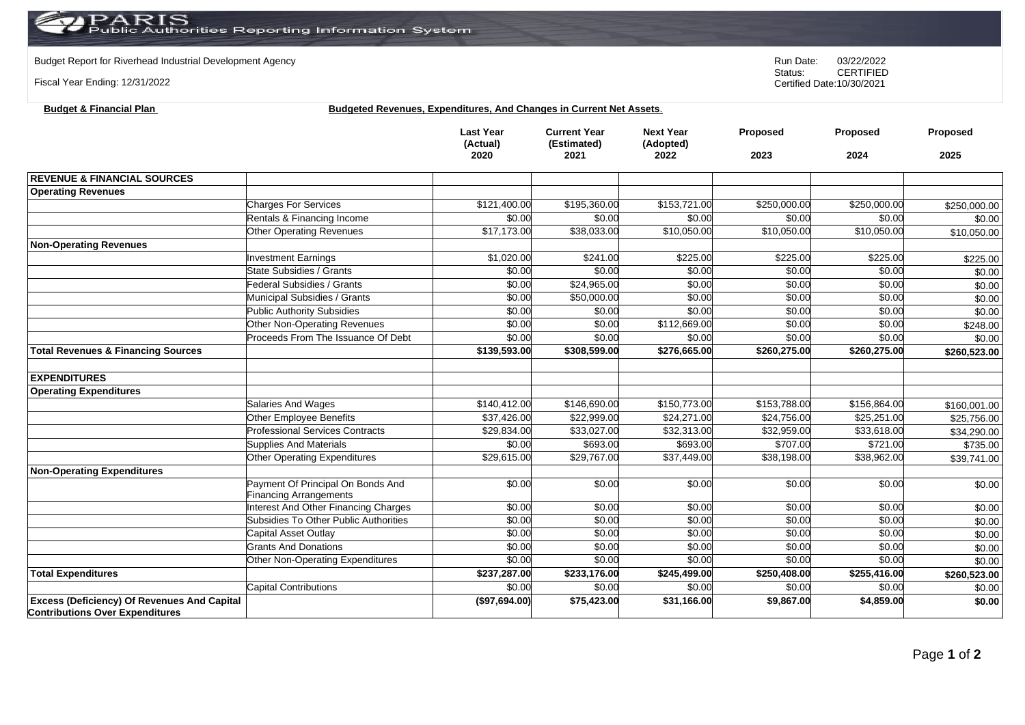Budget Report for Riverhead Industrial Development Agency<br>
Status: CERTIFIED

Fiscal Year Ending: 12/31/2022

**Budget & Financial Plan Budgeted Revenues, Expenditures, And Changes in Current Net Assets**.

|                                                                                              |                                        | <b>Last Year</b><br>(Actual)<br>2020 | <b>Current Year</b><br>(Estimated)<br>2021 | <b>Next Year</b><br>(Adopted)<br>2022 | Proposed<br>2023 | Proposed<br>2024 | Proposed<br>2025 |
|----------------------------------------------------------------------------------------------|----------------------------------------|--------------------------------------|--------------------------------------------|---------------------------------------|------------------|------------------|------------------|
|                                                                                              |                                        |                                      |                                            |                                       |                  |                  |                  |
| <b>REVENUE &amp; FINANCIAL SOURCES</b>                                                       |                                        |                                      |                                            |                                       |                  |                  |                  |
| <b>Operating Revenues</b>                                                                    |                                        |                                      |                                            |                                       |                  |                  |                  |
|                                                                                              | <b>Charges For Services</b>            | \$121,400.00                         | \$195,360.00                               | \$153,721.00                          | \$250,000.00     | \$250,000.00     | \$250,000.00     |
|                                                                                              | Rentals & Financing Income             | \$0.00                               | \$0.00                                     | \$0.00                                | \$0.00           | \$0.00           | \$0.00           |
|                                                                                              | <b>Other Operating Revenues</b>        | \$17,173.00                          | \$38,033.00                                | \$10,050.00                           | \$10,050.00      | \$10,050.00      | \$10,050.00      |
| <b>Non-Operating Revenues</b>                                                                |                                        |                                      |                                            |                                       |                  |                  |                  |
|                                                                                              | <b>Investment Earnings</b>             | \$1,020.00                           | \$241.00                                   | \$225.00                              | \$225.00         | \$225.00         | \$225.00         |
|                                                                                              | State Subsidies / Grants               | \$0.00                               | \$0.00                                     | \$0.00                                | \$0.00           | \$0.00           | \$0.00           |
|                                                                                              | <b>Federal Subsidies / Grants</b>      | \$0.00                               | \$24,965.00                                | \$0.00                                | \$0.00           | \$0.00           | \$0.00           |
|                                                                                              | Municipal Subsidies / Grants           | \$0.00                               | \$50,000.00                                | \$0.00                                | \$0.00           | \$0.00           | \$0.00           |
|                                                                                              | Public Authority Subsidies             | \$0.00                               | \$0.00                                     | \$0.00                                | \$0.00           | \$0.00           | \$0.00           |
|                                                                                              | Other Non-Operating Revenues           | \$0.00                               | \$0.00                                     | \$112,669.00                          | \$0.00           | \$0.00           | \$248.00         |
|                                                                                              | Proceeds From The Issuance Of Debt     | \$0.00                               | \$0.00                                     | \$0.00                                | \$0.00           | \$0.00           | \$0.00           |
| <b>Total Revenues &amp; Financing Sources</b>                                                |                                        | \$139,593.00                         | \$308,599.00                               | \$276,665.00                          | \$260,275.00     | \$260,275.00     | \$260,523.00     |
| <b>EXPENDITURES</b>                                                                          |                                        |                                      |                                            |                                       |                  |                  |                  |
| <b>Operating Expenditures</b>                                                                |                                        |                                      |                                            |                                       |                  |                  |                  |
|                                                                                              | <b>Salaries And Wages</b>              | \$140,412.00                         | \$146,690.00                               | \$150,773.00                          | \$153,788.00     | \$156,864.00     | \$160,001.00     |
|                                                                                              | Other Employee Benefits                | \$37,426.00                          | \$22,999.00                                | \$24,271.00                           | \$24,756.00      | \$25,251.00      | \$25,756.00      |
|                                                                                              | <b>Professional Services Contracts</b> | \$29,834.00                          | \$33,027.00                                | \$32,313.00                           | \$32,959.00      | \$33,618.00      | \$34,290.00      |
|                                                                                              | <b>Supplies And Materials</b>          | \$0.00                               | \$693.00                                   | \$693.00                              | \$707.00         | \$721.00         | \$735.00         |
|                                                                                              | Other Operating Expenditures           | \$29,615.00                          | \$29,767.00                                | \$37,449.00                           | \$38,198.00      | \$38,962.00      | \$39,741.00      |
| <b>Non-Operating Expenditures</b>                                                            |                                        |                                      |                                            |                                       |                  |                  |                  |
|                                                                                              | Payment Of Principal On Bonds And      | \$0.00                               | \$0.00                                     | \$0.00                                | \$0.00           | \$0.00           | \$0.00           |
|                                                                                              | <b>Financing Arrangements</b>          |                                      |                                            |                                       |                  |                  |                  |
|                                                                                              | Interest And Other Financing Charges   | \$0.00                               | \$0.00                                     | \$0.00                                | \$0.00           | \$0.00           | \$0.00           |
|                                                                                              | Subsidies To Other Public Authorities  | \$0.00                               | \$0.00                                     | \$0.00                                | \$0.00           | \$0.00           | \$0.00           |
|                                                                                              | Capital Asset Outlay                   | \$0.00                               | \$0.00                                     | \$0.00                                | \$0.00           | \$0.00           | \$0.00           |
|                                                                                              | <b>Grants And Donations</b>            | \$0.00                               | \$0.00                                     | \$0.00                                | \$0.00           | \$0.00           | \$0.00           |
|                                                                                              | Other Non-Operating Expenditures       | \$0.00                               | \$0.00                                     | \$0.00                                | \$0.00           | \$0.00           | \$0.00           |
| <b>Total Expenditures</b>                                                                    |                                        | \$237,287.00                         | \$233,176.00                               | \$245,499.00                          | \$250,408.00     | \$255,416.00     | \$260,523.00     |
|                                                                                              | <b>Capital Contributions</b>           | \$0.00                               | \$0.00                                     | \$0.00                                | \$0.00           | \$0.00           | \$0.00           |
| <b>Excess (Deficiency) Of Revenues And Capital</b><br><b>Contributions Over Expenditures</b> |                                        | (\$97,694.00)                        | \$75,423.00                                | \$31,166.00                           | \$9,867.00       | \$4,859.00       | \$0.00           |

Page **1** of **2**

CERTIFIED Certified Date:10/30/2021